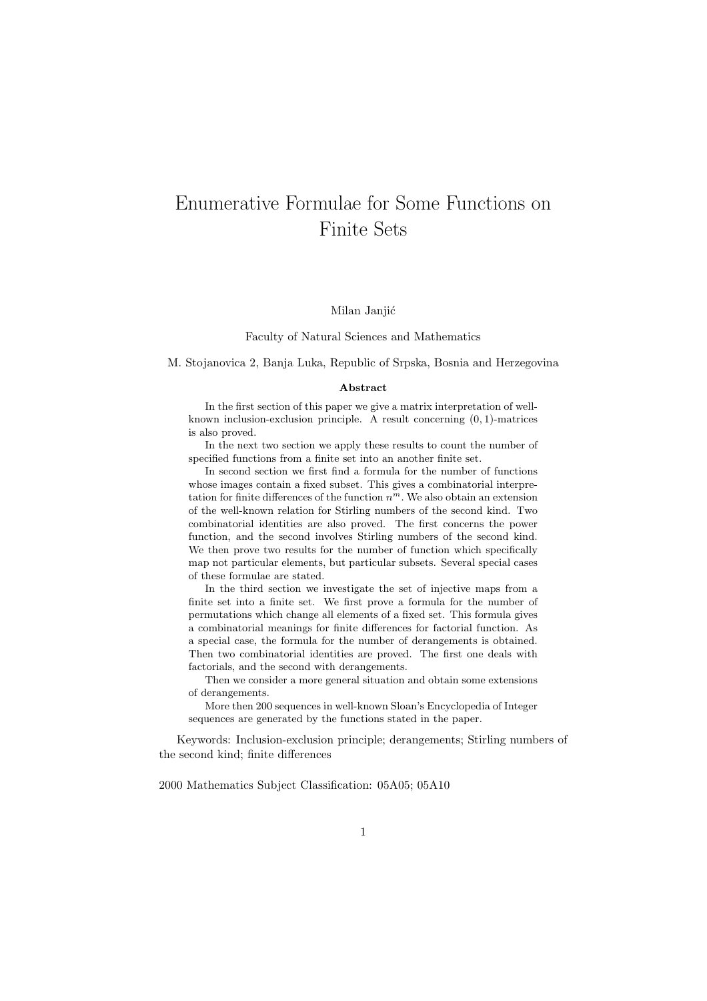# Enumerative Formulae for Some Functions on Finite Sets

### Milan Janjić

#### Faculty of Natural Sciences and Mathematics

M. Stojanovica 2, Banja Luka, Republic of Srpska, Bosnia and Herzegovina

#### Abstract

In the first section of this paper we give a matrix interpretation of wellknown inclusion-exclusion principle. A result concerning  $(0, 1)$ -matrices is also proved.

In the next two section we apply these results to count the number of specified functions from a finite set into an another finite set.

In second section we first find a formula for the number of functions whose images contain a fixed subset. This gives a combinatorial interpretation for finite differences of the function  $n^m$ . We also obtain an extension of the well-known relation for Stirling numbers of the second kind. Two combinatorial identities are also proved. The first concerns the power function, and the second involves Stirling numbers of the second kind. We then prove two results for the number of function which specifically map not particular elements, but particular subsets. Several special cases of these formulae are stated.

In the third section we investigate the set of injective maps from a finite set into a finite set. We first prove a formula for the number of permutations which change all elements of a fixed set. This formula gives a combinatorial meanings for finite differences for factorial function. As a special case, the formula for the number of derangements is obtained. Then two combinatorial identities are proved. The first one deals with factorials, and the second with derangements.

Then we consider a more general situation and obtain some extensions of derangements.

More then 200 sequences in well-known Sloan's Encyclopedia of Integer sequences are generated by the functions stated in the paper.

Keywords: Inclusion-exclusion principle; derangements; Stirling numbers of the second kind; finite differences

2000 Mathematics Subject Classification: 05A05; 05A10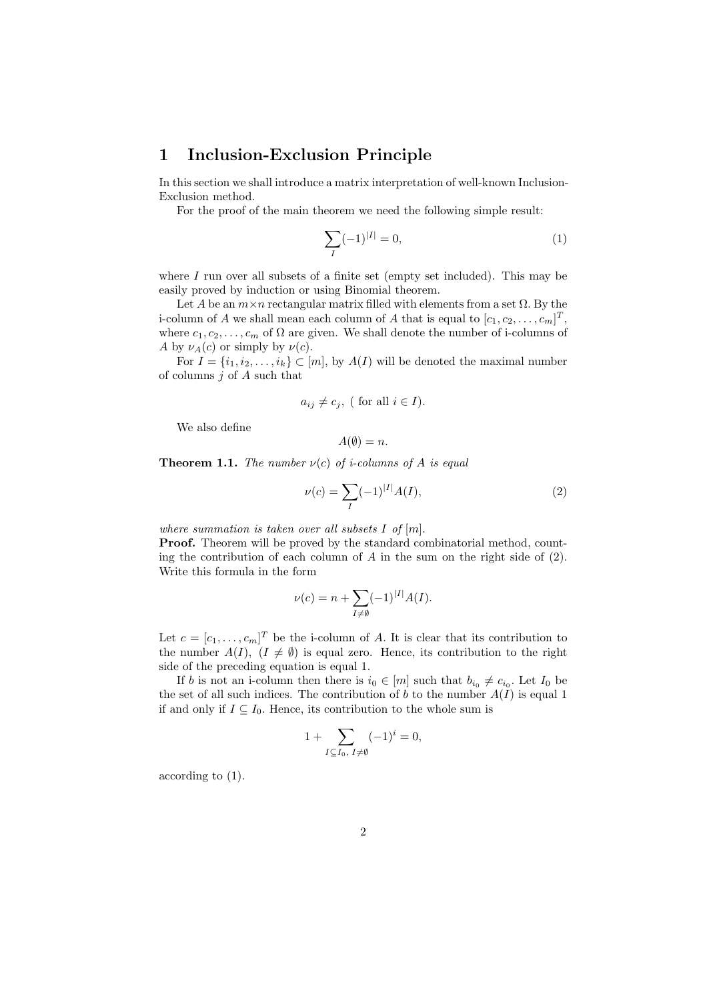## 1 Inclusion-Exclusion Principle

In this section we shall introduce a matrix interpretation of well-known Inclusion-Exclusion method.

For the proof of the main theorem we need the following simple result:

$$
\sum_{I} (-1)^{|I|} = 0,\t\t(1)
$$

where  $I$  run over all subsets of a finite set (empty set included). This may be easily proved by induction or using Binomial theorem.

Let A be an  $m \times n$  rectangular matrix filled with elements from a set  $\Omega$ . By the i-column of A we shall mean each column of A that is equal to  $[c_1, c_2, \ldots, c_m]^T$ , where  $c_1, c_2, \ldots, c_m$  of  $\Omega$  are given. We shall denote the number of i-columns of A by  $\nu_A(c)$  or simply by  $\nu(c)$ .

For  $I = \{i_1, i_2, \ldots, i_k\} \subset [m]$ , by  $A(I)$  will be denoted the maximal number of columns  $j$  of  $A$  such that

$$
a_{ij} \neq c_j
$$
, ( for all  $i \in I$ ).

We also define

$$
A(\emptyset) = n.
$$

**Theorem 1.1.** The number  $\nu(c)$  of *i*-columns of A is equal

$$
\nu(c) = \sum_{I} (-1)^{|I|} A(I),\tag{2}
$$

where summation is taken over all subsets  $I$  of  $[m]$ .

Proof. Theorem will be proved by the standard combinatorial method, counting the contribution of each column of A in the sum on the right side of  $(2)$ . Write this formula in the form

$$
\nu(c) = n + \sum_{I \neq \emptyset} (-1)^{|I|} A(I).
$$

Let  $c = [c_1, \ldots, c_m]^T$  be the i-column of A. It is clear that its contribution to the number  $A(I)$ ,  $(I \neq \emptyset)$  is equal zero. Hence, its contribution to the right side of the preceding equation is equal 1.

If b is not an i-column then there is  $i_0 \in [m]$  such that  $b_{i_0} \neq c_{i_0}$ . Let  $I_0$  be the set of all such indices. The contribution of b to the number  $A(I)$  is equal 1 if and only if  $I \subseteq I_0$ . Hence, its contribution to the whole sum is

$$
1 + \sum_{I \subseteq I_0, \ I \neq \emptyset} (-1)^i = 0,
$$

according to (1).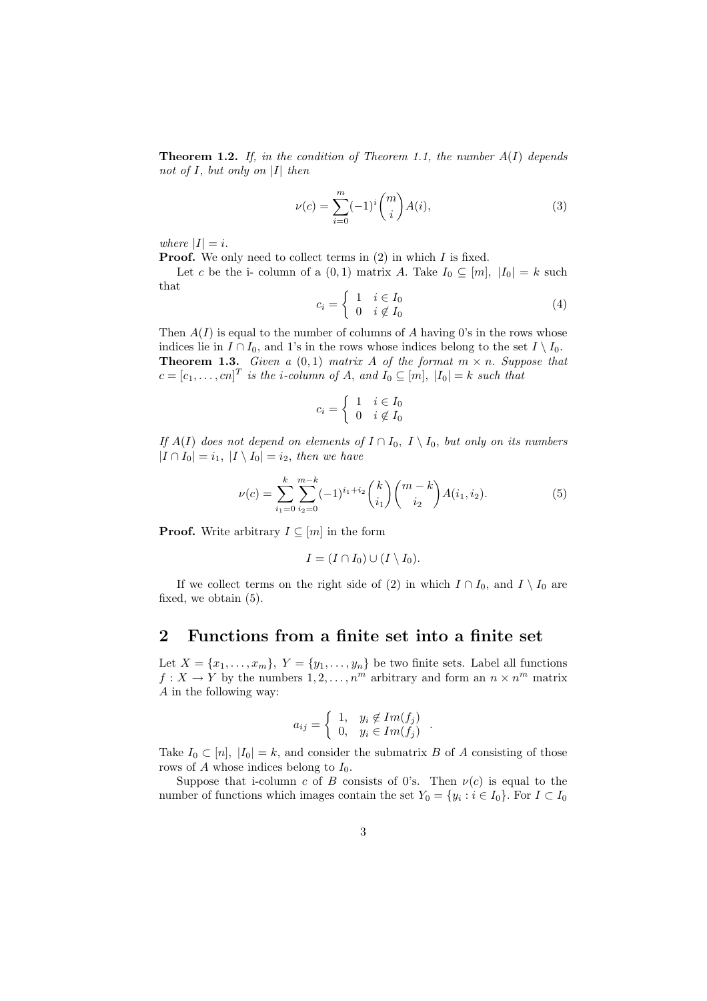**Theorem 1.2.** If, in the condition of Theorem 1.1, the number  $A(I)$  depends not of  $I$ , but only on  $|I|$  then

$$
\nu(c) = \sum_{i=0}^{m} (-1)^i \binom{m}{i} A(i),\tag{3}
$$

where  $|I| = i$ .

**Proof.** We only need to collect terms in  $(2)$  in which I is fixed.

Let c be the i- column of a  $(0, 1)$  matrix A. Take  $I_0 \subseteq [m], |I_0| = k$  such that ½

$$
c_i = \begin{cases} 1 & i \in I_0 \\ 0 & i \notin I_0 \end{cases}
$$
 (4)

Then  $A(I)$  is equal to the number of columns of A having 0's in the rows whose indices lie in  $I \cap I_0$ , and 1's in the rows whose indices belong to the set  $I \setminus I_0$ . **Theorem 1.3.** Given a  $(0,1)$  matrix A of the format  $m \times n$ . Suppose that  $c = [c_1, \ldots, cn]^T$  is the i-column of A, and  $I_0 \subseteq [m]$ ,  $|I_0| = k$  such that

$$
c_i = \left\{ \begin{array}{ll} 1 & i \in I_0 \\ 0 & i \notin I_0 \end{array} \right.
$$

If  $A(I)$  does not depend on elements of  $I \cap I_0$ ,  $I \setminus I_0$ , but only on its numbers  $|I \cap I_0| = i_1$ ,  $|I \setminus I_0| = i_2$ , then we have

$$
\nu(c) = \sum_{i_1=0}^{k} \sum_{i_2=0}^{m-k} (-1)^{i_1+i_2} {k \choose i_1} {m-k \choose i_2} A(i_1, i_2).
$$
 (5)

**Proof.** Write arbitrary  $I \subseteq [m]$  in the form

$$
I = (I \cap I_0) \cup (I \setminus I_0).
$$

If we collect terms on the right side of (2) in which  $I \cap I_0$ , and  $I \setminus I_0$  are fixed, we obtain (5).

### 2 Functions from a finite set into a finite set

Let  $X = \{x_1, \ldots, x_m\}, Y = \{y_1, \ldots, y_n\}$  be two finite sets. Label all functions  $f: X \to Y$  by the numbers  $1, 2, ..., n^m$  arbitrary and form an  $n \times n^m$  matrix A in the following way:

$$
a_{ij} = \begin{cases} 1, & y_i \notin Im(f_j) \\ 0, & y_i \in Im(f_j) \end{cases}
$$

.

Take  $I_0 \subset [n]$ ,  $|I_0| = k$ , and consider the submatrix B of A consisting of those rows of A whose indices belong to  $I_0$ .

Suppose that i-column c of B consists of 0's. Then  $\nu(c)$  is equal to the number of functions which images contain the set  $Y_0 = \{y_i : i \in I_0\}$ . For  $I \subset I_0$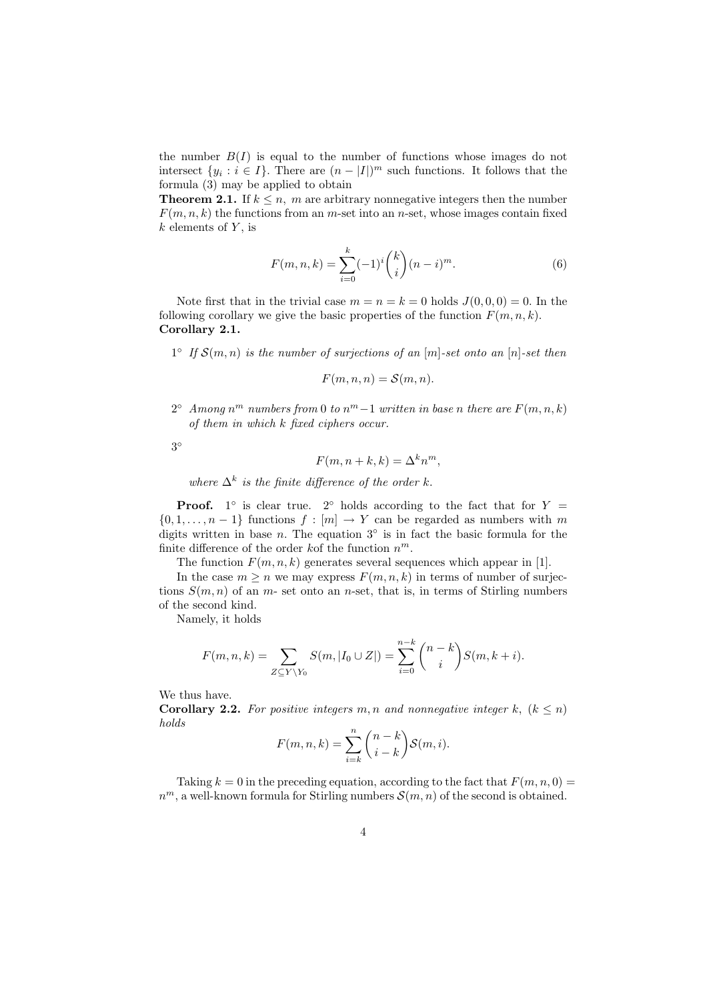the number  $B(I)$  is equal to the number of functions whose images do not intersect  $\{y_i : i \in I\}$ . There are  $(n-|I|)^m$  such functions. It follows that the formula (3) may be applied to obtain

**Theorem 2.1.** If  $k \leq n$ , m are arbitrary nonnegative integers then the number  $F(m, n, k)$  the functions from an m-set into an n-set, whose images contain fixed  $k$  elements of  $Y$ , is

$$
F(m, n, k) = \sum_{i=0}^{k} (-1)^{i} {k \choose i} (n-i)^{m}.
$$
 (6)

Note first that in the trivial case  $m = n = k = 0$  holds  $J(0, 0, 0) = 0$ . In the following corollary we give the basic properties of the function  $F(m, n, k)$ . Corollary 2.1.

 $1^{\circ}$  If  $\mathcal{S}(m,n)$  is the number of surjections of an  $[m]$ -set onto an  $[n]$ -set then

$$
F(m, n, n) = \mathcal{S}(m, n).
$$

 $2^{\circ}$  Among n<sup>m</sup> numbers from 0 to n<sup>m</sup> -1 written in base n there are  $F(m, n, k)$ of them in which k fixed ciphers occur.

3 ◦

$$
F(m, n+k, k) = \Delta^k n^m,
$$

where  $\Delta^k$  is the finite difference of the order k.

**Proof.** 1° is clear true. 2° holds according to the fact that for  $Y =$  $\{0, 1, \ldots, n-1\}$  functions  $f : [m] \to Y$  can be regarded as numbers with m digits written in base n. The equation  $3°$  is in fact the basic formula for the finite difference of the order kof the function  $n^m$ .

The function  $F(m, n, k)$  generates several sequences which appear in [1].

In the case  $m > n$  we may express  $F(m, n, k)$  in terms of number of surjections  $S(m, n)$  of an m- set onto an n-set, that is, in terms of Stirling numbers of the second kind.

Namely, it holds

$$
F(m, n, k) = \sum_{Z \subseteq Y \backslash Y_0} S(m, |I_0 \cup Z|) = \sum_{i=0}^{n-k} {n-k \choose i} S(m, k+i).
$$

We thus have.

**Corollary 2.2.** For positive integers m, n and nonnegative integer k,  $(k \leq n)$ holds  $\overline{a}$  $\mathbf{r}$ 

$$
F(m, n, k) = \sum_{i=k}^{n} {n-k \choose i-k} \mathcal{S}(m, i).
$$

Taking  $k = 0$  in the preceding equation, according to the fact that  $F(m, n, 0) =$  $n^m$ , a well-known formula for Stirling numbers  $\mathcal{S}(m,n)$  of the second is obtained.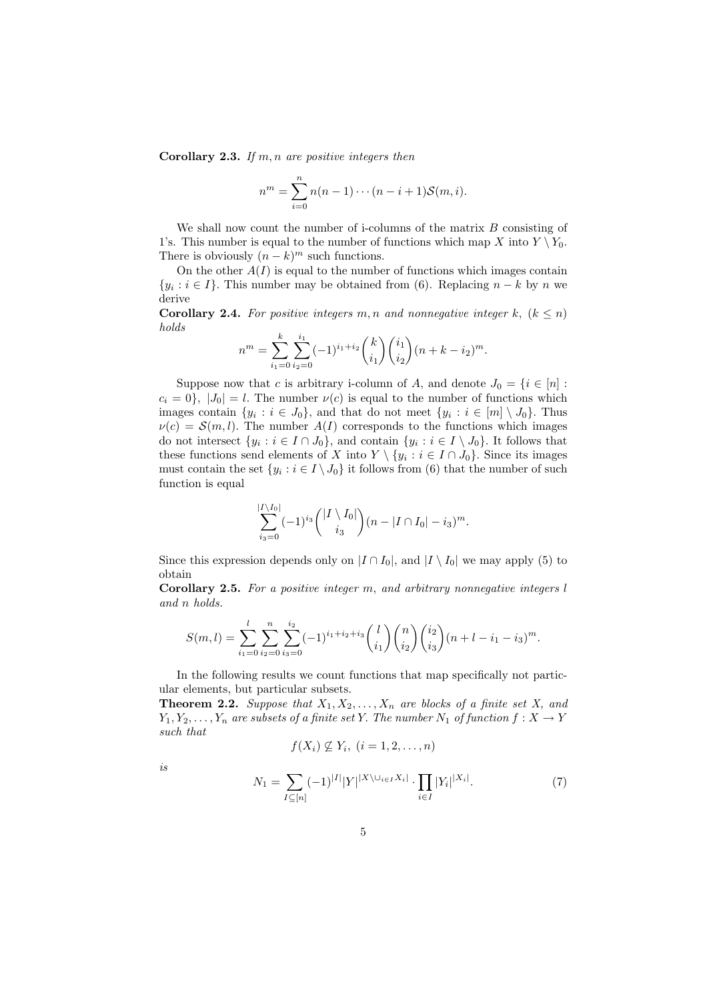**Corollary 2.3.** If  $m, n$  are positive integers then

$$
n^{m} = \sum_{i=0}^{n} n(n-1)\cdots(n-i+1)S(m,i).
$$

We shall now count the number of i-columns of the matrix  $B$  consisting of 1's. This number is equal to the number of functions which map X into  $Y \ Y_0$ . There is obviously  $(n-k)^m$  such functions.

On the other  $A(I)$  is equal to the number of functions which images contain  $\{y_i : i \in I\}$ . This number may be obtained from (6). Replacing  $n - k$  by n we derive

**Corollary 2.4.** For positive integers m, n and nonnegative integer k,  $(k \leq n)$ holds

$$
n^{m} = \sum_{i_1=0}^{k} \sum_{i_2=0}^{i_1} (-1)^{i_1+i_2} {k \choose i_1} {i_1 \choose i_2} (n+k-i_2)^m.
$$

Suppose now that c is arbitrary i-column of A, and denote  $J_0 = \{i \in [n] :$  $c_i = 0$ ,  $|J_0| = l$ . The number  $\nu(c)$  is equal to the number of functions which images contain  $\{y_i : i \in J_0\}$ , and that do not meet  $\{y_i : i \in [m] \setminus J_0\}$ . Thus  $\nu(c) = S(m, l)$ . The number  $A(I)$  corresponds to the functions which images do not intersect  $\{y_i : i \in I \cap J_0\}$ , and contain  $\{y_i : i \in I \setminus J_0\}$ . It follows that these functions send elements of X into  $Y \setminus \{y_i : i \in I \cap J_0\}$ . Since its images must contain the set  $\{y_i : i \in I \setminus J_0\}$  it follows from (6) that the number of such function is equal

$$
\sum_{i_3=0}^{|I\setminus I_0|} (-1)^{i_3} \binom{|I\setminus I_0|}{i_3} (n-|I\cap I_0|-i_3)^m.
$$

Since this expression depends only on  $|I \cap I_0|$ , and  $|I \setminus I_0|$  we may apply (5) to obtain

Corollary 2.5. For a positive integer m, and arbitrary nonnegative integers l and n holds.

$$
S(m,l) = \sum_{i_1=0}^{l} \sum_{i_2=0}^{n} \sum_{i_3=0}^{i_2} (-1)^{i_1+i_2+i_3} {l \choose i_1} {n \choose i_2} {i_2 \choose i_3} (n+l-i_1-i_3)^m.
$$

In the following results we count functions that map specifically not particular elements, but particular subsets.

**Theorem 2.2.** Suppose that  $X_1, X_2, \ldots, X_n$  are blocks of a finite set X, and  $Y_1, Y_2, \ldots, Y_n$  are subsets of a finite set Y. The number  $N_1$  of function  $f: X \to Y$ such that

$$
f(X_i) \nsubseteq Y_i, \ (i = 1, 2, \ldots, n)
$$

is

$$
N_1 = \sum_{I \subseteq [n]} (-1)^{|I|} |Y|^{X \setminus \cup_{i \in I} X_i} \cdot \prod_{i \in I} |Y_i|^{|X_i|}.
$$
 (7)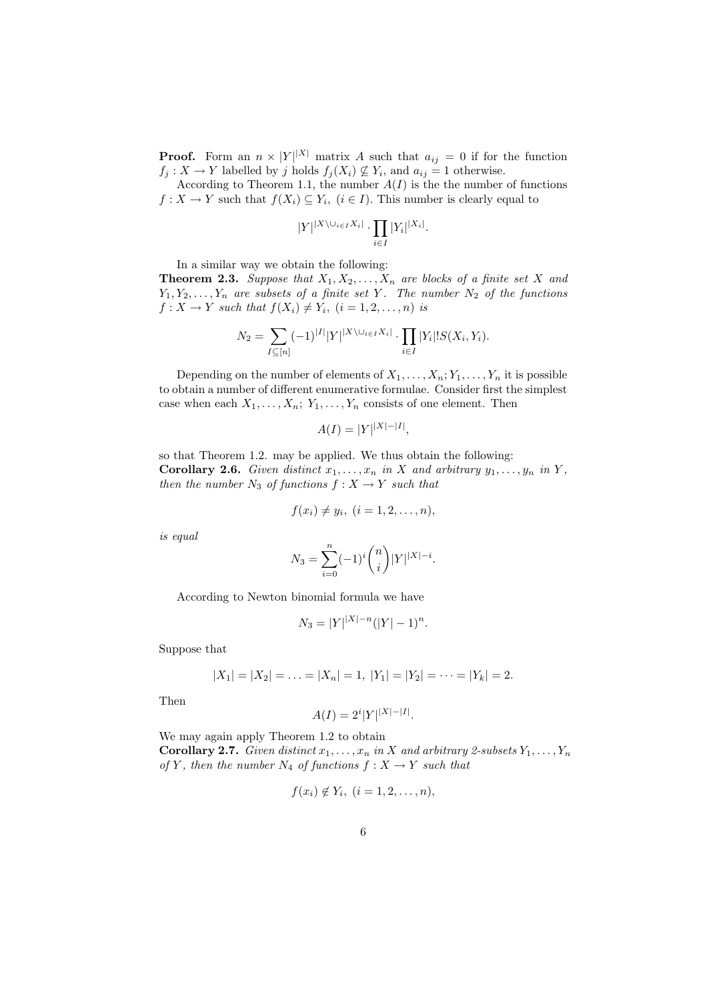**Proof.** Form an  $n \times |Y|^{X}$  matrix A such that  $a_{ij} = 0$  if for the function  $f_j: X \to Y$  labelled by j holds  $f_j(X_i) \not\subseteq Y_i$ , and  $a_{ij} = 1$  otherwise.

According to Theorem 1.1, the number  $A(I)$  is the the number of functions  $f: X \to Y$  such that  $f(X_i) \subseteq Y_i$ ,  $(i \in I)$ . This number is clearly equal to

$$
|Y|^{|X\setminus \cup_{i\in I}X_i|} \cdot \prod_{i\in I} |Y_i|^{|X_i|}.
$$

In a similar way we obtain the following:

**Theorem 2.3.** Suppose that  $X_1, X_2, \ldots, X_n$  are blocks of a finite set X and  $Y_1, Y_2, \ldots, Y_n$  are subsets of a finite set Y. The number  $N_2$  of the functions  $f: X \to Y$  such that  $f(X_i) \neq Y_i$ ,  $(i = 1, 2, \ldots, n)$  is

$$
N_2 = \sum_{I \subseteq [n]} (-1)^{|I|} |Y|^{X \setminus \cup_{i \in I} X_i} \cdot \prod_{i \in I} |Y_i|! S(X_i, Y_i).
$$

Depending on the number of elements of  $X_1, \ldots, X_n; Y_1, \ldots, Y_n$  it is possible to obtain a number of different enumerative formulae. Consider first the simplest case when each  $X_1, \ldots, X_n; Y_1, \ldots, Y_n$  consists of one element. Then

$$
A(I) = |Y|^{|X| - |I|},
$$

so that Theorem 1.2. may be applied. We thus obtain the following: **Corollary 2.6.** Given distinct  $x_1, \ldots, x_n$  in X and arbitrary  $y_1, \ldots, y_n$  in Y, then the number  $N_3$  of functions  $f: X \to Y$  such that

$$
f(x_i) \neq y_i, \ (i=1,2,\ldots,n),
$$

is equal

$$
N_3 = \sum_{i=0}^n (-1)^i \binom{n}{i} |Y|^{|X|-i}.
$$

According to Newton binomial formula we have

$$
N_3 = |Y|^{|X|-n} (|Y|-1)^n.
$$

Suppose that

$$
|X_1| = |X_2| = \ldots = |X_n| = 1, |Y_1| = |Y_2| = \cdots = |Y_k| = 2.
$$

Then

$$
A(I) = 2^{i} |Y|^{|X| - |I|}.
$$

We may again apply Theorem 1.2 to obtain **Corollary 2.7.** Given distinct  $x_1, \ldots, x_n$  in X and arbitrary 2-subsets  $Y_1, \ldots, Y_n$ of Y, then the number  $N_4$  of functions  $f: X \to Y$  such that

$$
f(x_i) \notin Y_i, \ (i=1,2,\ldots,n),
$$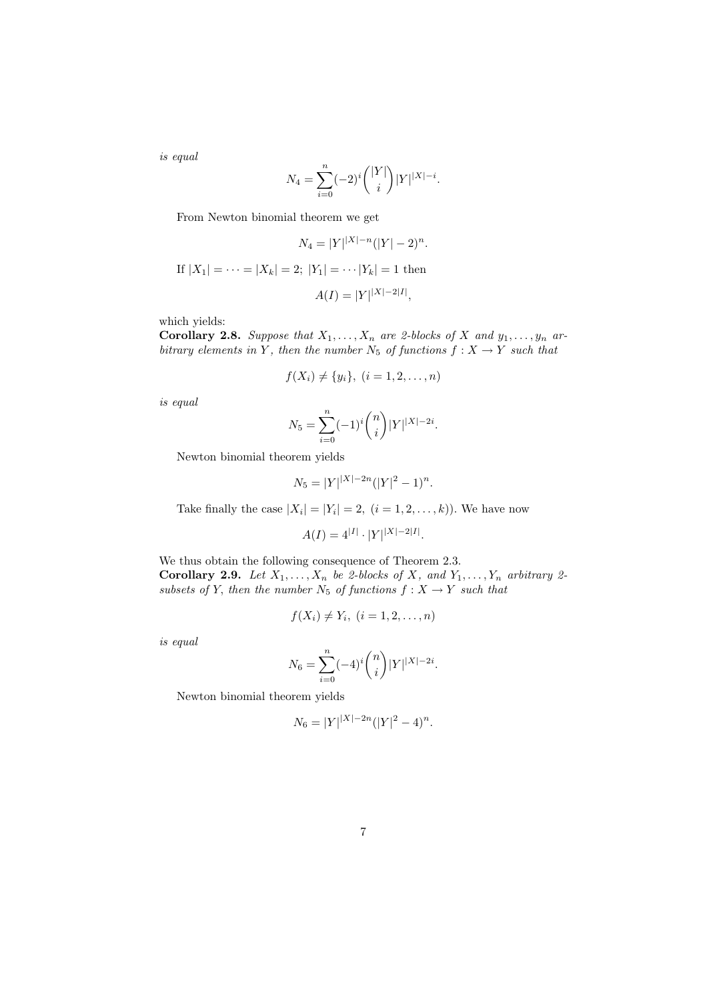is equal

$$
N_4 = \sum_{i=0}^{n} (-2)^i \binom{|Y|}{i} |Y|^{|X|-i}.
$$

From Newton binomial theorem we get

$$
N_4 = |Y| |X| - n(|Y| - 2)^n.
$$
  
If  $|X_1| = \dots = |X_k| = 2$ ;  $|Y_1| = \dots |Y_k| = 1$  then

$$
A(I)=\vert Y\vert^{\vert X\vert-2\vert I\vert},
$$

which yields:

**Corollary 2.8.** Suppose that  $X_1, \ldots, X_n$  are 2-blocks of X and  $y_1, \ldots, y_n$  arbitrary elements in Y, then the number  $N_5$  of functions  $f: X \to Y$  such that

$$
f(X_i) \neq \{y_i\}, \ (i = 1, 2, \dots, n)
$$

is equal

$$
N_5 = \sum_{i=0}^n (-1)^i \binom{n}{i} |Y|^{|X|-2i}.
$$

Newton binomial theorem yields

$$
N_5 = |Y|^{|X|-2n} (|Y|^2 - 1)^n.
$$

Take finally the case  $|X_i| = |Y_i| = 2$ ,  $(i = 1, 2, ..., k)$ . We have now

$$
A(I) = 4^{|I|} \cdot |Y|^{|X|-2|I|}.
$$

We thus obtain the following consequence of Theorem 2.3. Corollary 2.9. Let  $X_1, \ldots, X_n$  be 2-blocks of X, and  $Y_1, \ldots, Y_n$  arbitrary 2subsets of Y, then the number  $N_5$  of functions  $f: X \rightarrow Y$  such that

$$
f(X_i) \neq Y_i, \ (i=1,2,\ldots,n)
$$

is equal

$$
N_6 = \sum_{i=0}^n (-4)^i \binom{n}{i} |Y|^{|X|-2i}.
$$

Newton binomial theorem yields

$$
N_6 = |Y|^{|X|-2n} (|Y|^2 - 4)^n.
$$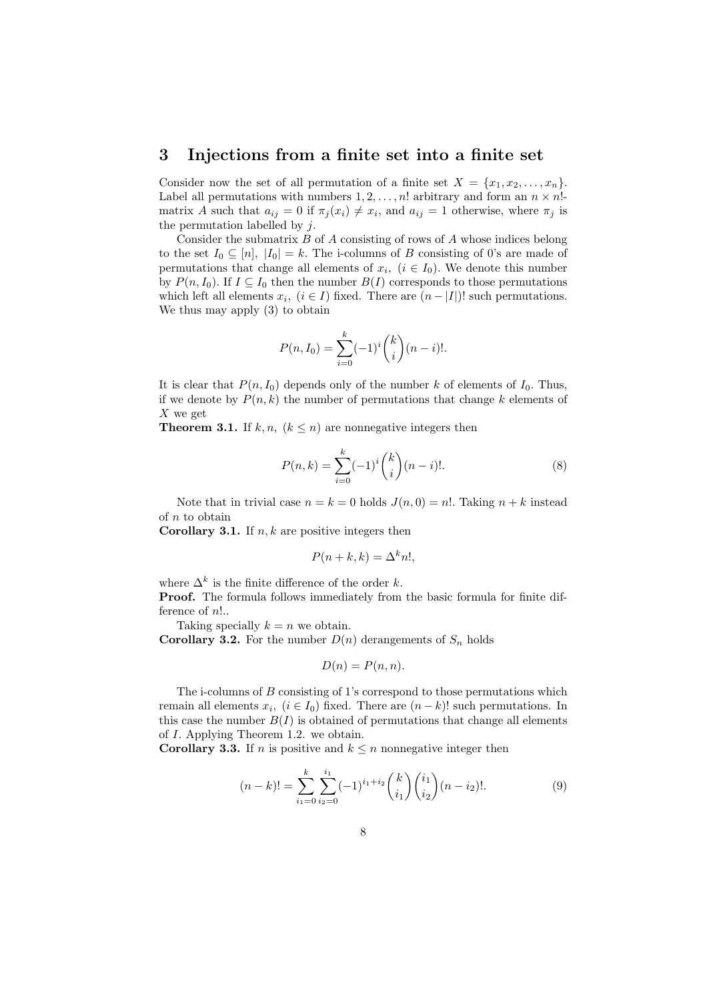### 3 Injections from a finite set into a finite set

Consider now the set of all permutation of a finite set  $X = \{x_1, x_2, \ldots, x_n\}$ . Label all permutations with numbers  $1, 2, \ldots, n!$  arbitrary and form an  $n \times n!$ matrix A such that  $a_{ij} = 0$  if  $\pi_j(x_i) \neq x_i$ , and  $a_{ij} = 1$  otherwise, where  $\pi_j$  is the permutation labelled by  $j$ .

Consider the submatrix  $B$  of  $A$  consisting of rows of  $A$  whose indices belong to the set  $I_0 \subseteq [n]$ ,  $|I_0| = k$ . The i-columns of B consisting of 0's are made of permutations that change all elements of  $x_i$ ,  $(i \in I_0)$ . We denote this number by  $P(n, I_0)$ . If  $I \subseteq I_0$  then the number  $B(I)$  corresponds to those permutations which left all elements  $x_i$ ,  $(i \in I)$  fixed. There are  $(n - |I|)!$  such permutations. We thus may apply (3) to obtain

$$
P(n, I_0) = \sum_{i=0}^{k} (-1)^i {k \choose i} (n-i)!
$$

It is clear that  $P(n, I_0)$  depends only of the number k of elements of  $I_0$ . Thus, if we denote by  $P(n, k)$  the number of permutations that change k elements of  $X$  we get

**Theorem 3.1.** If  $k, n, (k \leq n)$  are nonnegative integers then

$$
P(n,k) = \sum_{i=0}^{k} (-1)^{i} {k \choose i} (n-i)!.
$$
 (8)

Note that in trivial case  $n = k = 0$  holds  $J(n, 0) = n!$ . Taking  $n + k$  instead of  $n$  to obtain

**Corollary 3.1.** If  $n, k$  are positive integers then

$$
P(n+k,k) = \Delta^k n!,
$$

where  $\Delta^k$  is the finite difference of the order k.

Proof. The formula follows immediately from the basic formula for finite difference of n!..

Taking specially  $k = n$  we obtain.

**Corollary 3.2.** For the number  $D(n)$  derangements of  $S_n$  holds

$$
D(n) = P(n, n).
$$

The i-columns of B consisting of 1's correspond to those permutations which remain all elements  $x_i$ ,  $(i \in I_0)$  fixed. There are  $(n-k)!$  such permutations. In this case the number  $B(I)$  is obtained of permutations that change all elements of I. Applying Theorem 1.2. we obtain.

**Corollary 3.3.** If n is positive and  $k \leq n$  nonnegative integer then

$$
(n-k)! = \sum_{i_1=0}^{k} \sum_{i_2=0}^{i_1} (-1)^{i_1+i_2} \binom{k}{i_1} \binom{i_1}{i_2} (n-i_2)!. \tag{9}
$$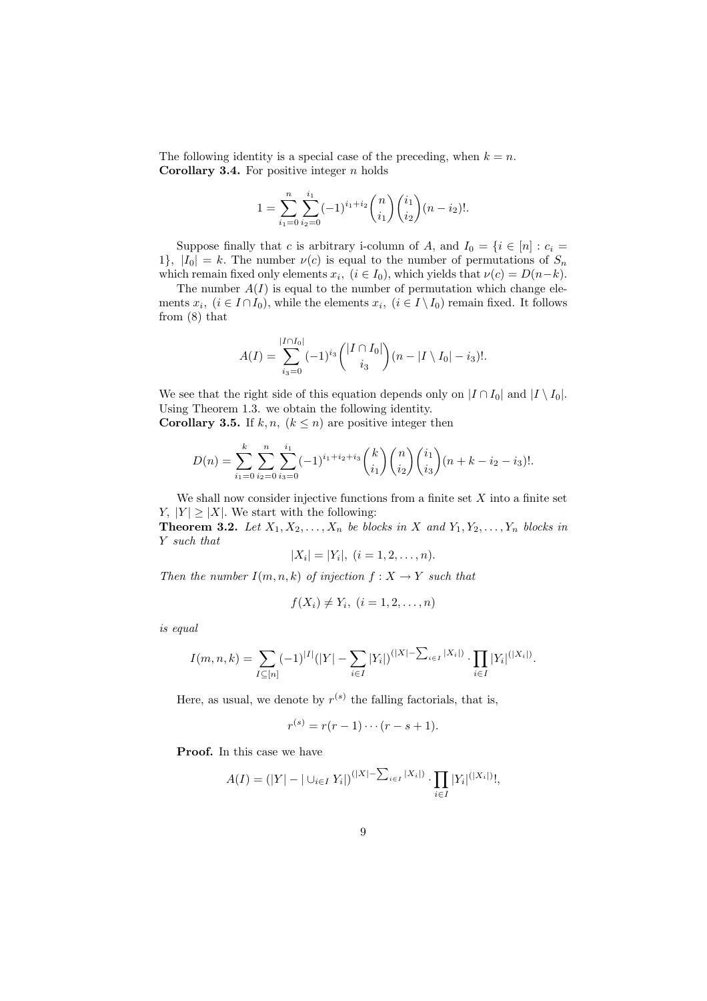The following identity is a special case of the preceding, when  $k = n$ . **Corollary 3.4.** For positive integer  $n$  holds

$$
1 = \sum_{i_1=0}^{n} \sum_{i_2=0}^{i_1} (-1)^{i_1+i_2} \binom{n}{i_1} \binom{i_1}{i_2} (n-i_2)!
$$

Suppose finally that c is arbitrary i-column of A, and  $I_0 = \{i \in [n] : c_i =$ 1},  $|I_0| = k$ . The number  $\nu(c)$  is equal to the number of permutations of  $S_n$ which remain fixed only elements  $x_i$ ,  $(i \in I_0)$ , which yields that  $\nu(c) = D(n-k)$ .

The number  $A(I)$  is equal to the number of permutation which change elements  $x_i$ ,  $(i \in I \cap I_0)$ , while the elements  $x_i$ ,  $(i \in I \setminus I_0)$  remain fixed. It follows from (8) that

$$
A(I) = \sum_{i_3=0}^{|I \cap I_0|} (-1)^{i_3} \binom{|I \cap I_0|}{i_3} (n - |I \setminus I_0| - i_3)!.
$$

We see that the right side of this equation depends only on  $|I \cap I_0|$  and  $|I \setminus I_0|$ . Using Theorem 1.3. we obtain the following identity. **Corollary 3.5.** If k, n,  $(k \leq n)$  are positive integer then

$$
D(n) = \sum_{i_1=0}^k \sum_{i_2=0}^n \sum_{i_3=0}^{i_1} (-1)^{i_1+i_2+i_3} \binom{k}{i_1} \binom{n}{i_2} \binom{i_1}{i_3} (n+k-i_2-i_3)!.
$$

We shall now consider injective functions from a finite set  $X$  into a finite set  $Y, |Y| \geq |X|$ . We start with the following:

**Theorem 3.2.** Let  $X_1, X_2, \ldots, X_n$  be blocks in X and  $Y_1, Y_2, \ldots, Y_n$  blocks in Y such that

$$
|X_i| = |Y_i|, \ (i = 1, 2, \dots, n).
$$

Then the number  $I(m, n, k)$  of injection  $f : X \to Y$  such that

$$
f(X_i) \neq Y_i, \ (i=1,2,\ldots,n)
$$

is equal

$$
I(m,n,k) = \sum_{I \subseteq [n]} (-1)^{|I|} (|Y| - \sum_{i \in I} |Y_i|)^{(|X| - \sum_{i \in I} |X_i|)} \cdot \prod_{i \in I} |Y_i|^{(|X_i|)}.
$$

Here, as usual, we denote by  $r^{(s)}$  the falling factorials, that is,

$$
r^{(s)} = r(r-1)\cdots(r-s+1).
$$

Proof. In this case we have

$$
A(I) = (|Y| - |\cup_{i \in I} Y_i|)^{(|X| - \sum_{i \in I} |X_i|)} \cdot \prod_{i \in I} |Y_i|^{(|X_i|)}!,
$$